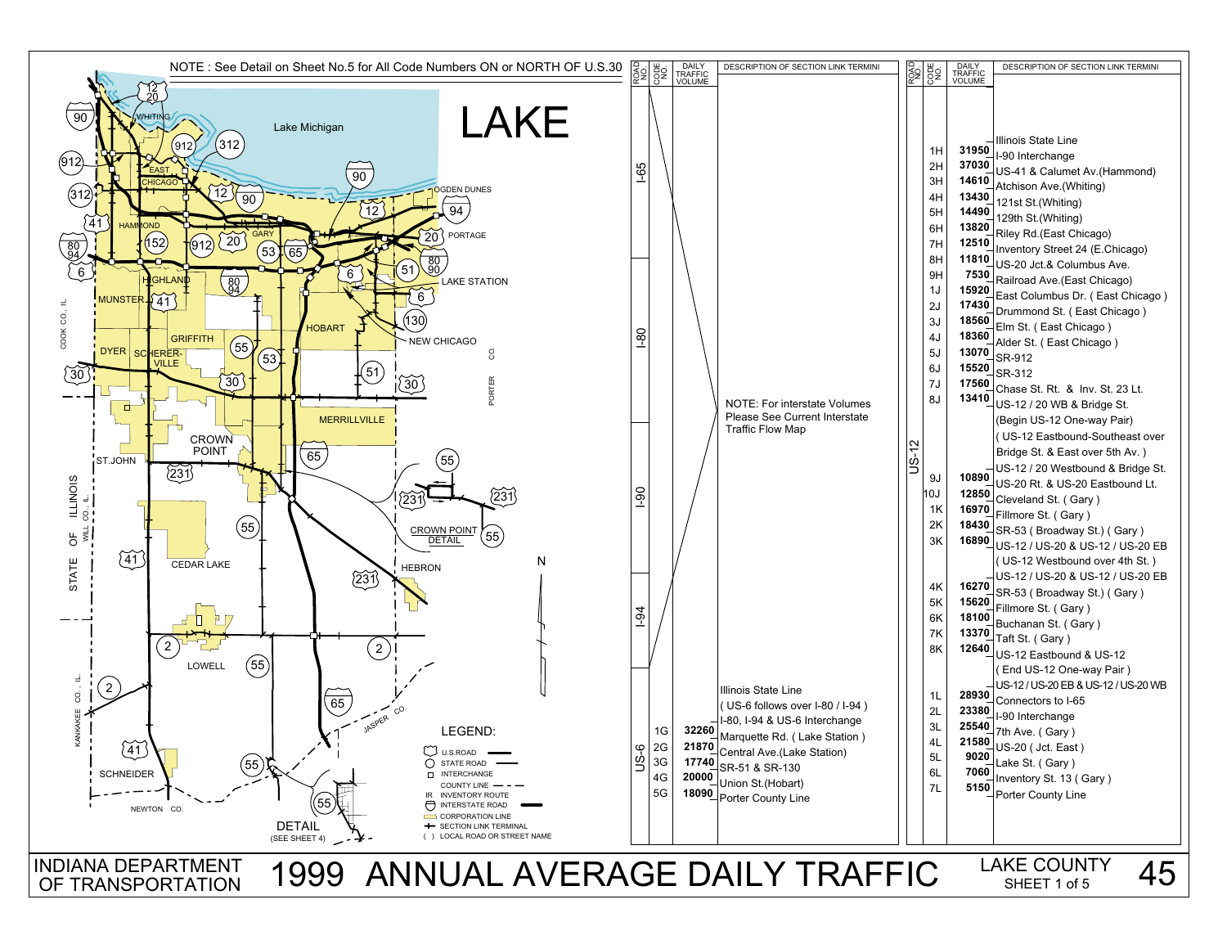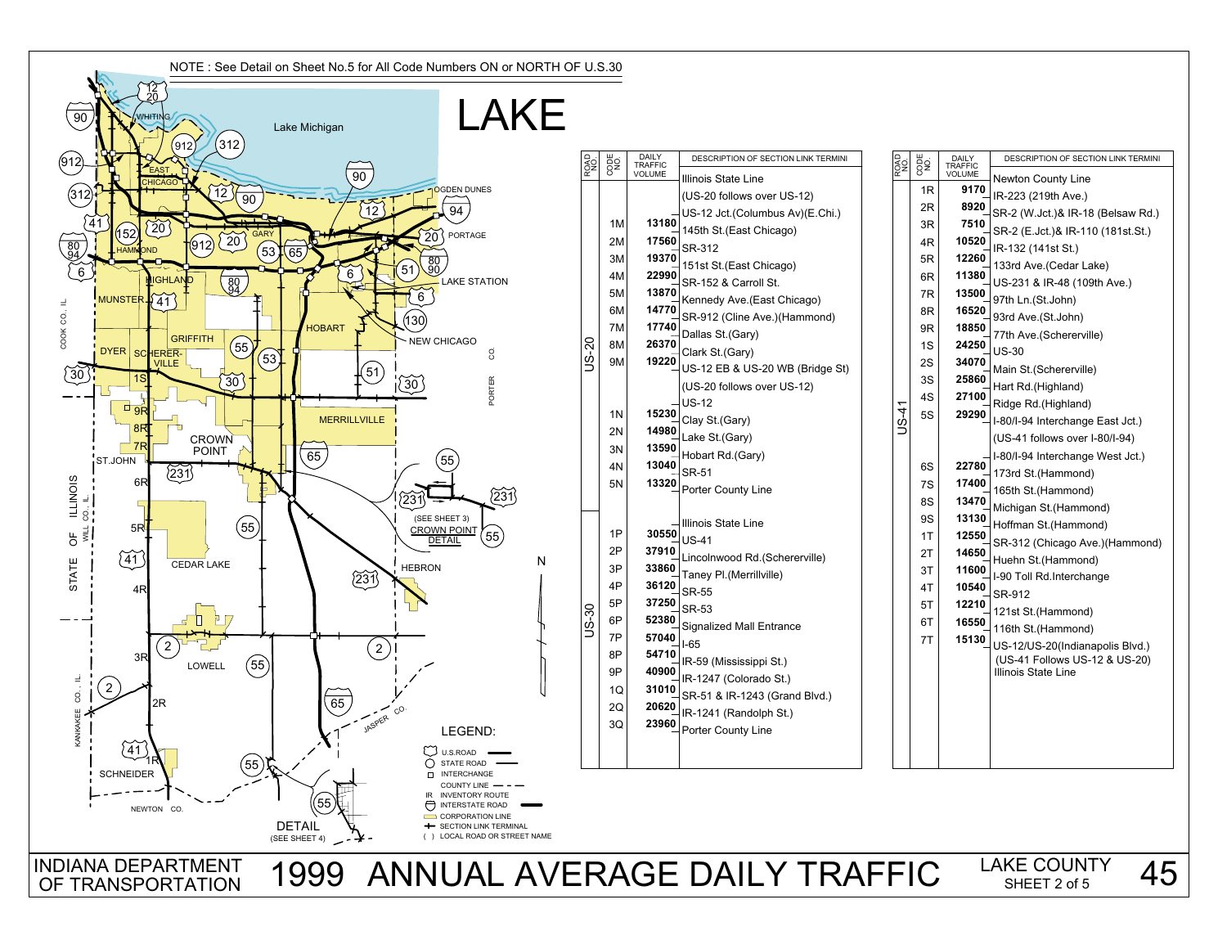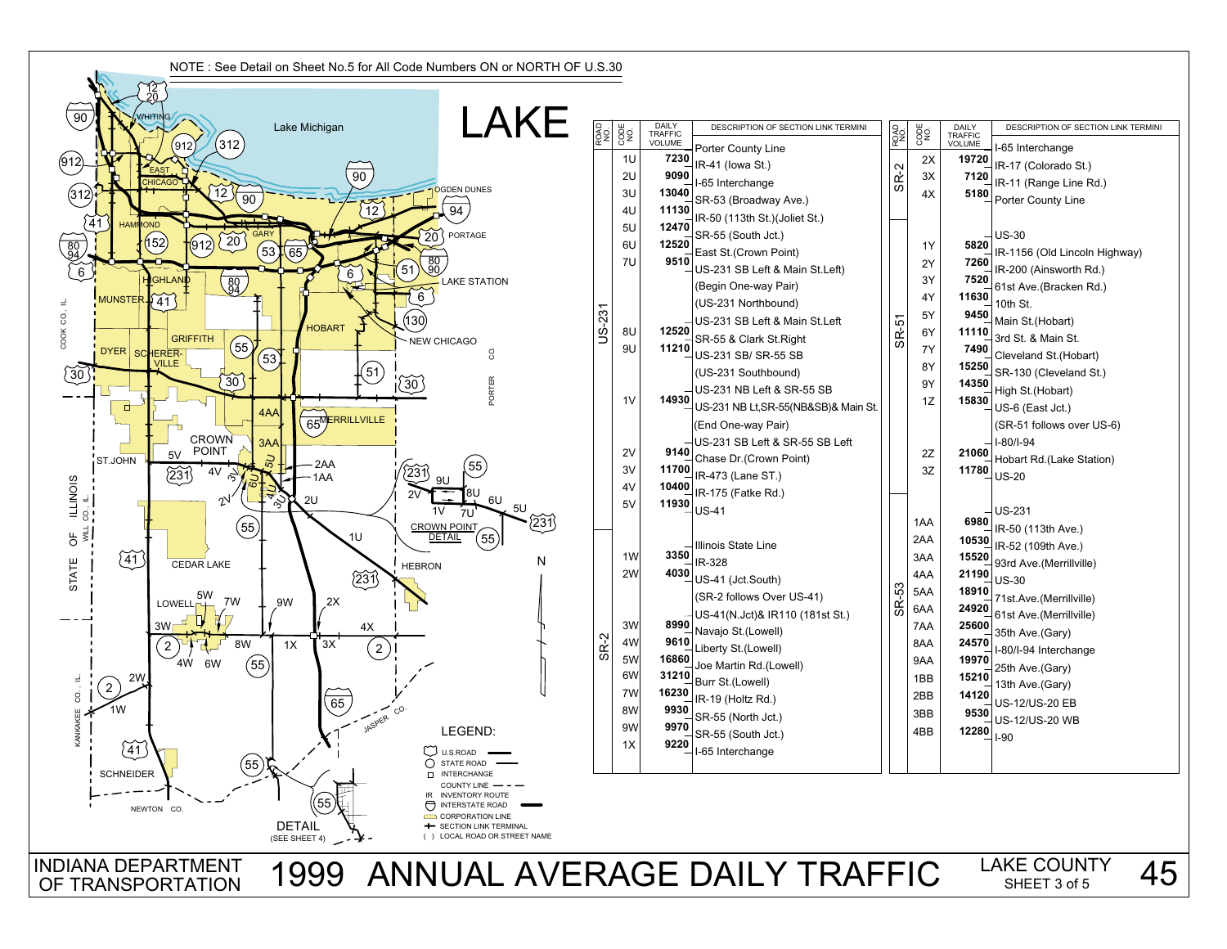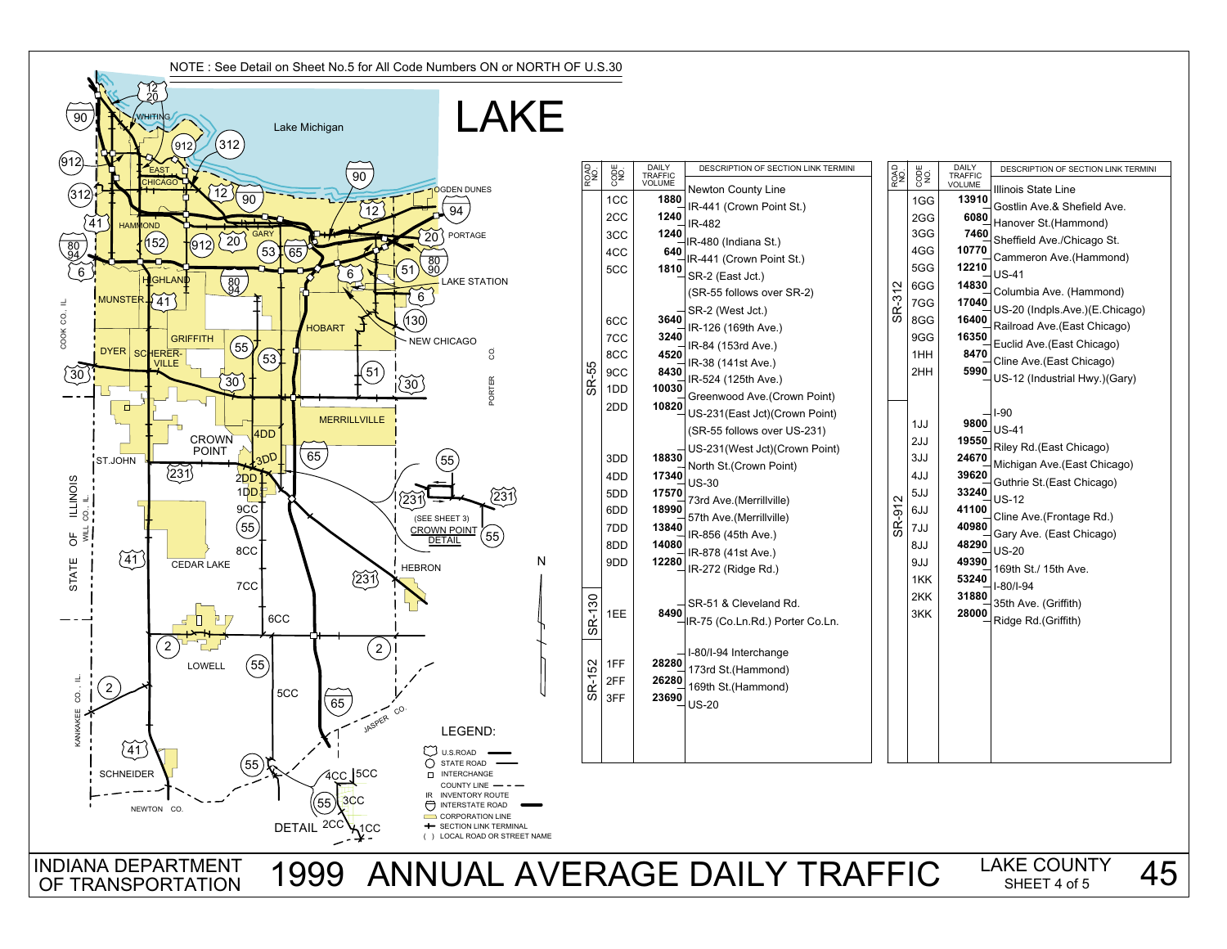